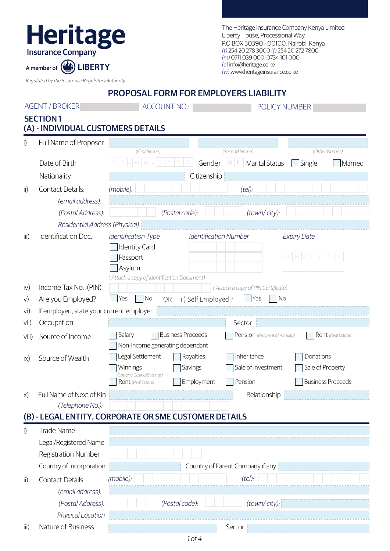| The Heritage Insurance Company Kenya Limited |
|----------------------------------------------|
| Liberty House, Processional Way              |
| P.O BOX 30390 - 00100, Nairobi, Kenya        |
| (t) 254 20 278 3000 (f) 254 20 272 7800      |
| (m) 0711 039 000, 0734 101 000               |
| (e) info@heritage.co.ke                      |
| (w) www.heritageinsurance.co.ke              |

*Regulated by the Insurance Regulatory Authority*

A member of *Q* LIBERTY

Heritage

|       |                                                       | <b>PROPOSAL FORM FOR EMPLOYERS LIABILITY</b>                                                            |
|-------|-------------------------------------------------------|---------------------------------------------------------------------------------------------------------|
|       | <b>AGENT / BROKER</b>                                 | <b>ACCOUNT NO.:</b><br>POLICY NUMBER                                                                    |
|       | <b>SECTION1</b><br>(A) - INDIVIDUAL CUSTOMERS DETAILS |                                                                                                         |
| i)    | Full Name of Proposer                                 |                                                                                                         |
|       |                                                       | (First Name)<br>(Second Name)<br>(Other Names)                                                          |
|       | Date of Birth                                         | D <br>$M$ $M$ $\Box$<br>Gender<br>$M$ $F$<br><b>Marital Status</b><br>Single<br>Married                 |
|       | Nationality                                           | Citizenship                                                                                             |
| ii)   | <b>Contact Details:</b>                               | (mobile):<br>(tel):                                                                                     |
|       | (email address):                                      |                                                                                                         |
|       | (Postal Address):                                     | (Postal code):<br>(town/city):                                                                          |
|       | Residential Address (Physical)                        |                                                                                                         |
| iii)  | Identification Doc.                                   | Identification Type<br>Identification Number<br><b>Expiry Date</b><br><b>Identity Card</b>              |
|       |                                                       | $M$ $M$ $\sim$ $Y$<br>Passport<br>Asylum                                                                |
|       |                                                       | (Attach a copy of Identification Document)                                                              |
| iv)   | Income Tax No. (PIN)                                  | (Attach a copy of PIN Certificate)<br>No<br>No                                                          |
| V)    | Are you Employed?                                     | Yes<br>ii) Self Employed?<br>Yes<br>OR                                                                  |
| vi)   | If employed, state your current employer.             | Sector                                                                                                  |
| vii)  | Occupation                                            | Salary<br><b>Business Proceeds</b>                                                                      |
| viii) | Source of Income                                      | Pension (Recipient of Annuity)<br>Rent (Real Estate)<br>Non-Income generating dependant                 |
| ix)   | Source of Wealth                                      | Legal Settlement<br>Royalties<br>Inheritance<br>Donations                                               |
|       |                                                       | Sale of Investment<br>Sale of Property<br>Savings<br>Winnings                                           |
|       |                                                       | (Lottery/ Casino/Bettings)<br>Employment<br>  Pension<br><b>Business Proceeds</b><br>Rent (Real Estate) |
| X)    | Full Name of Next of Kin                              | Relationship                                                                                            |
|       | (Telephone No.):                                      |                                                                                                         |
|       |                                                       | (B) - LEGAL ENTITY, CORPORATE OR SME CUSTOMER DETAILS                                                   |
| i)    | Trade Name                                            |                                                                                                         |
|       | Legal/Registered Name                                 |                                                                                                         |
|       | <b>Registration Number</b>                            |                                                                                                         |
|       | Country of Incorporation                              | Country of Parent Company if any                                                                        |
|       | <b>Contact Details</b>                                | (mobile):<br>(tel):                                                                                     |
| ii)   | (email address):                                      |                                                                                                         |
|       | (Postal Address):                                     | (Postal code):<br>(town/city):                                                                          |
|       | Physical Location                                     |                                                                                                         |
|       |                                                       |                                                                                                         |

iii) Nature of Business Sector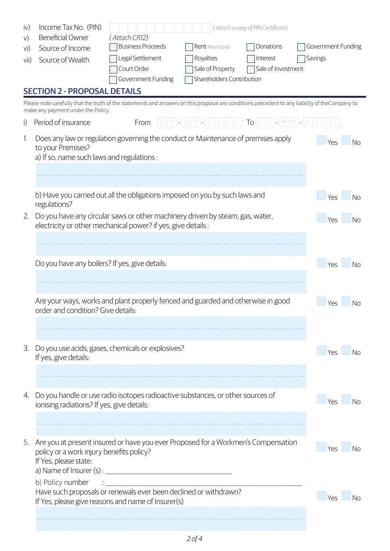| iv)             | Income Tax No. (PIN)                                                                                                                                 |                                 |                               | (Attach a copy of PIN Certificate) |                    |
|-----------------|------------------------------------------------------------------------------------------------------------------------------------------------------|---------------------------------|-------------------------------|------------------------------------|--------------------|
| V)              | <b>Beneficial Owner</b>                                                                                                                              | (Attach CR12)                   |                               |                                    |                    |
| vi)             | Source of Income                                                                                                                                     | <b>Business Proceeds</b>        | Rent (Real Estate)            | Donations                          | Government Funding |
| V <sub>II</sub> | Source of Wealth                                                                                                                                     | Legal Settlement<br>Court Order | Royalties<br>Sale of Property | Interest<br>Sale of Investment     | Savings            |
|                 |                                                                                                                                                      | Government Funding              | Shareholders Contribution     |                                    |                    |
|                 | <b>SECTION 2 - PROPOSAL DETAILS</b>                                                                                                                  |                                 |                               |                                    |                    |
|                 | Please note carefully that the truth of the statements and answers on this proposal are conditions precedent to any liability of theCompany to       |                                 |                               |                                    |                    |
|                 | make any payment under the Policy.                                                                                                                   |                                 |                               |                                    |                    |
| i)              | Period of insurance                                                                                                                                  | From                            | $D D L M M$                   | $Y Y Y Y T_O O D A M A $           |                    |
| 1.              | Does any law or regulation governing the conduct or Maintenance of premises apply<br>to your Premises?<br>a) If so, name such laws and regulations : |                                 |                               |                                    | Yes<br><b>No</b>   |
|                 |                                                                                                                                                      |                                 |                               |                                    |                    |
|                 |                                                                                                                                                      |                                 |                               |                                    |                    |
|                 | b) Have you carried out all the obligations imposed on you by such laws and<br>regulations?                                                          |                                 |                               |                                    | Yes<br><b>No</b>   |
| 2.              | Do you have any circular saws or other machinery driven by steam, gas, water,<br>electricity or other mechanical power? if yes, give details :       |                                 |                               |                                    | Yes<br><b>No</b>   |
|                 |                                                                                                                                                      |                                 |                               |                                    |                    |
|                 |                                                                                                                                                      |                                 |                               |                                    |                    |
|                 | Do you have any boilers? If yes, give details:                                                                                                       |                                 |                               |                                    | Yes<br><b>No</b>   |
|                 |                                                                                                                                                      |                                 |                               |                                    |                    |
|                 |                                                                                                                                                      |                                 |                               |                                    |                    |
|                 | Are your ways, works and plant properly fenced and guarded and otherwise in good<br>order and condition? Give details:                               |                                 |                               |                                    | Yes<br><b>No</b>   |
|                 |                                                                                                                                                      |                                 |                               |                                    |                    |
|                 |                                                                                                                                                      |                                 |                               |                                    |                    |
| 3.              | Do you use acids, gases, chemicals or explosives?<br>If yes, give details:                                                                           |                                 |                               |                                    | No<br>Yes          |
|                 |                                                                                                                                                      |                                 |                               |                                    |                    |
|                 |                                                                                                                                                      |                                 |                               |                                    |                    |
| 4.              | Do you handle or use radio isotopes radioactive substances, or other sources of                                                                      |                                 |                               |                                    |                    |
|                 | ionising radiations? If yes, give details:                                                                                                           |                                 |                               |                                    | Nο<br>Yρς          |
|                 |                                                                                                                                                      |                                 |                               |                                    |                    |
|                 |                                                                                                                                                      |                                 |                               |                                    |                    |
| 5.              | Are you at present insured or have you ever Proposed for a Workmen's Compensation                                                                    |                                 |                               |                                    | Yes<br>Nο          |
|                 | policy or a work injury benefits policy?<br>If Yes, please state:                                                                                    |                                 |                               |                                    |                    |
|                 | a) Name of Insurer $(s)$ :                                                                                                                           |                                 |                               |                                    |                    |
|                 | b) Policy number                                                                                                                                     |                                 |                               |                                    |                    |
|                 | Have such proposals or renewals ever been declined or withdrawn?                                                                                     |                                 |                               |                                    | Yes<br>No          |
|                 | If Yes, please give reasons and name of Insurer(s)                                                                                                   |                                 |                               |                                    |                    |
|                 |                                                                                                                                                      |                                 |                               |                                    |                    |
|                 |                                                                                                                                                      |                                 |                               |                                    |                    |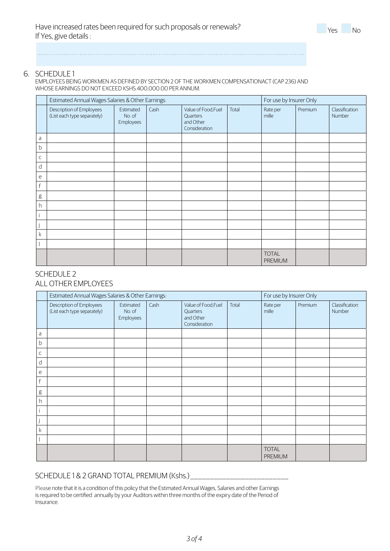#### 6. SCHEDULE 1

EMPLOYEES BEING WORKMEN AS DEFINED BY SECTION 2 OF THE WORKMEN COMPENSATIONACT (CAP 236) AND WHOSE EARNINGS DO NOT EXCEED KSHS.400,000.00 PER ANNUM.

|             | Estimated Annual Wages Salaries & Other Earnings:       |                                  |      |                                                               | For use by Insurer Only |                                |         |                          |
|-------------|---------------------------------------------------------|----------------------------------|------|---------------------------------------------------------------|-------------------------|--------------------------------|---------|--------------------------|
|             | Description of Employees<br>(List each type separately) | Estimated<br>No. of<br>Employees | Cash | Value of Food, Fuel<br>Quarters<br>and Other<br>Consideration | Total                   | Rate per<br>mille              | Premium | Classification<br>Number |
| a           |                                                         |                                  |      |                                                               |                         |                                |         |                          |
| b           |                                                         |                                  |      |                                                               |                         |                                |         |                          |
| $\mathsf C$ |                                                         |                                  |      |                                                               |                         |                                |         |                          |
| d           |                                                         |                                  |      |                                                               |                         |                                |         |                          |
| e           |                                                         |                                  |      |                                                               |                         |                                |         |                          |
| f           |                                                         |                                  |      |                                                               |                         |                                |         |                          |
| g           |                                                         |                                  |      |                                                               |                         |                                |         |                          |
| h           |                                                         |                                  |      |                                                               |                         |                                |         |                          |
|             |                                                         |                                  |      |                                                               |                         |                                |         |                          |
|             |                                                         |                                  |      |                                                               |                         |                                |         |                          |
| k           |                                                         |                                  |      |                                                               |                         |                                |         |                          |
|             |                                                         |                                  |      |                                                               |                         |                                |         |                          |
|             |                                                         |                                  |      |                                                               |                         | <b>TOTAL</b><br><b>PREMIUM</b> |         |                          |

#### SCHEDULE 2 ALL OTHER EMPLOYEES

|   | Estimated Annual Wages Salaries & Other Earnings:       |                                  |      |                                                               |       | For use by Insurer Only        |         |                          |
|---|---------------------------------------------------------|----------------------------------|------|---------------------------------------------------------------|-------|--------------------------------|---------|--------------------------|
|   | Description of Employees<br>(List each type separately) | Estimated<br>No. of<br>Employees | Cash | Value of Food, Fuel<br>Quarters<br>and Other<br>Consideration | Total | Rate per<br>mille              | Premium | Classification<br>Number |
| a |                                                         |                                  |      |                                                               |       |                                |         |                          |
| b |                                                         |                                  |      |                                                               |       |                                |         |                          |
| C |                                                         |                                  |      |                                                               |       |                                |         |                          |
| d |                                                         |                                  |      |                                                               |       |                                |         |                          |
| e |                                                         |                                  |      |                                                               |       |                                |         |                          |
| f |                                                         |                                  |      |                                                               |       |                                |         |                          |
| g |                                                         |                                  |      |                                                               |       |                                |         |                          |
| h |                                                         |                                  |      |                                                               |       |                                |         |                          |
|   |                                                         |                                  |      |                                                               |       |                                |         |                          |
|   |                                                         |                                  |      |                                                               |       |                                |         |                          |
| k |                                                         |                                  |      |                                                               |       |                                |         |                          |
|   |                                                         |                                  |      |                                                               |       |                                |         |                          |
|   |                                                         |                                  |      |                                                               |       | <b>TOTAL</b><br><b>PREMIUM</b> |         |                          |

## SCHEDULE 1 & 2 GRAND TOTAL PREMIUM (Kshs.)

Please note that it is a condition of this policy that the Estimated Annual Wages, Salaries and other Earnings is required to be certified annually by your Auditors within three months of the expiry date of the Period of Insurance.